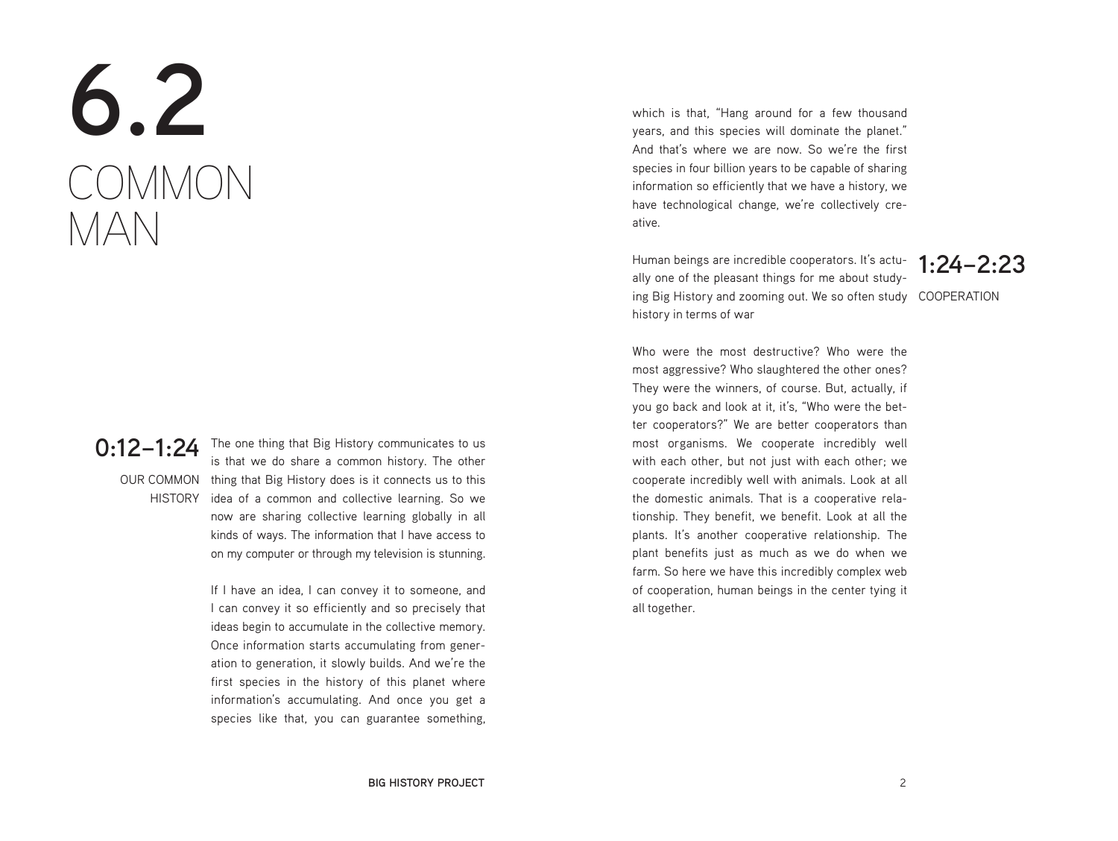## **6.2** COMMON MAN

**0:12–1:24** The one thing that Big History communicates to us<br>**0:12–1:24** The that we do share a common history. The other OUR COMMON thing that Big History does is it connects us to this HISTORY idea of a common and collective learning. So we is that we do share a common history. The other now are sharing collective learning globally in all kinds of ways. The information that I have access to on my computer or through my television is stunning.

> If I have an idea, I can convey it to someone, and I can convey it so efficiently and so precisely that ideas begin to accumulate in the collective memory. Once information starts accumulating from generation to generation, it slowly builds. And we're the first species in the history of this planet where information's accumulating. And once you get a species like that, you can guarantee something,

which is that, "Hang around for a few thousand years, and this species will dominate the planet." And that's where we are now. So we're the first species in four billion years to be capable of sharing information so efficiently that we have a history, we have technological change, we're collectively creative.

ing Big History and zooming out. We so often study COOPERATION Human beings are incredible cooperators. It's actually one of the pleasant things for me about studyhistory in terms of war

**1:24–2:23**

Who were the most destructive? Who were the most aggressive? Who slaughtered the other ones? They were the winners, of course. But, actually, if you go back and look at it, it's, "Who were the better cooperators?" We are better cooperators than most organisms. We cooperate incredibly well with each other, but not just with each other; we cooperate incredibly well with animals. Look at all the domestic animals. That is a cooperative relationship. They benefit, we benefit. Look at all the plants. It's another cooperative relationship. The plant benefits just as much as we do when we farm. So here we have this incredibly complex web of cooperation, human beings in the center tying it all together.